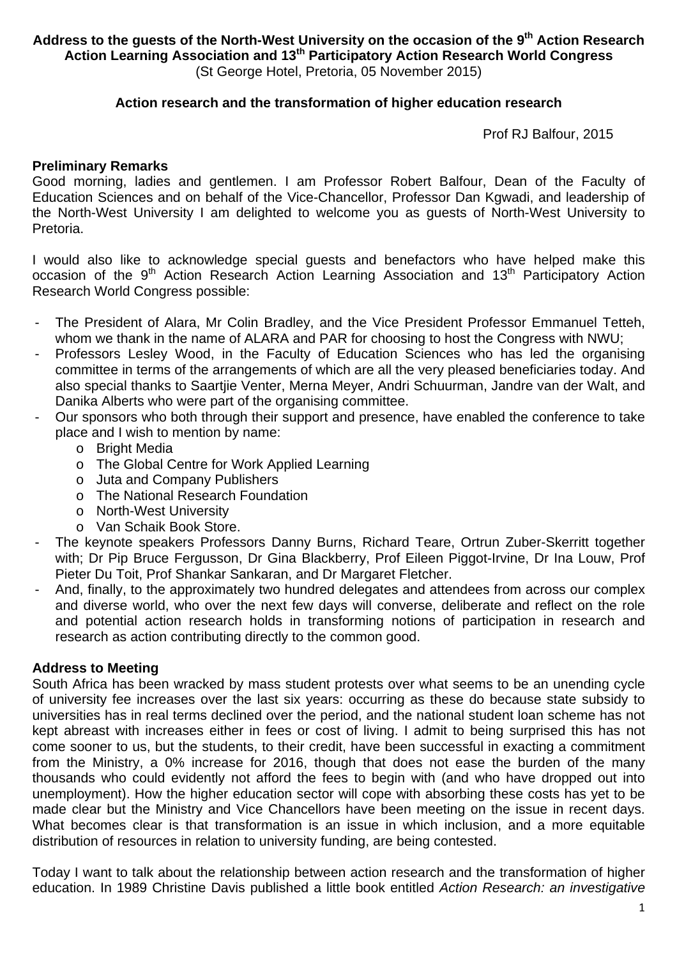Address to the guests of the North-West University on the occasion of the 9<sup>th</sup> Action Research **Action Learning Association and 13th Participatory Action Research World Congress**  (St George Hotel, Pretoria, 05 November 2015)

#### **Action research and the transformation of higher education research**

Prof RJ Balfour, 2015

#### **Preliminary Remarks**

Good morning, ladies and gentlemen. I am Professor Robert Balfour, Dean of the Faculty of Education Sciences and on behalf of the Vice-Chancellor, Professor Dan Kgwadi, and leadership of the North-West University I am delighted to welcome you as guests of North-West University to Pretoria.

I would also like to acknowledge special guests and benefactors who have helped make this occasion of the 9<sup>th</sup> Action Research Action Learning Association and 13<sup>th</sup> Participatory Action Research World Congress possible:

- The President of Alara, Mr Colin Bradley, and the Vice President Professor Emmanuel Tetteh, whom we thank in the name of ALARA and PAR for choosing to host the Congress with NWU;
- Professors Lesley Wood, in the Faculty of Education Sciences who has led the organising committee in terms of the arrangements of which are all the very pleased beneficiaries today. And also special thanks to Saartjie Venter, Merna Meyer, Andri Schuurman, Jandre van der Walt, and Danika Alberts who were part of the organising committee.
- Our sponsors who both through their support and presence, have enabled the conference to take place and I wish to mention by name:
	- o Bright Media
	- o The Global Centre for Work Applied Learning
	- o Juta and Company Publishers
	- o The National Research Foundation
	- o North-West University
	- o Van Schaik Book Store.
- The keynote speakers Professors Danny Burns, Richard Teare, Ortrun Zuber-Skerritt together with; Dr Pip Bruce Fergusson, Dr Gina Blackberry, Prof Eileen Piggot-Irvine, Dr Ina Louw, Prof Pieter Du Toit, Prof Shankar Sankaran, and Dr Margaret Fletcher.
- And, finally, to the approximately two hundred delegates and attendees from across our complex and diverse world, who over the next few days will converse, deliberate and reflect on the role and potential action research holds in transforming notions of participation in research and research as action contributing directly to the common good.

# **Address to Meeting**

South Africa has been wracked by mass student protests over what seems to be an unending cycle of university fee increases over the last six years: occurring as these do because state subsidy to universities has in real terms declined over the period, and the national student loan scheme has not kept abreast with increases either in fees or cost of living. I admit to being surprised this has not come sooner to us, but the students, to their credit, have been successful in exacting a commitment from the Ministry, a 0% increase for 2016, though that does not ease the burden of the many thousands who could evidently not afford the fees to begin with (and who have dropped out into unemployment). How the higher education sector will cope with absorbing these costs has yet to be made clear but the Ministry and Vice Chancellors have been meeting on the issue in recent days. What becomes clear is that transformation is an issue in which inclusion, and a more equitable distribution of resources in relation to university funding, are being contested.

Today I want to talk about the relationship between action research and the transformation of higher education. In 1989 Christine Davis published a little book entitled *Action Research: an investigative*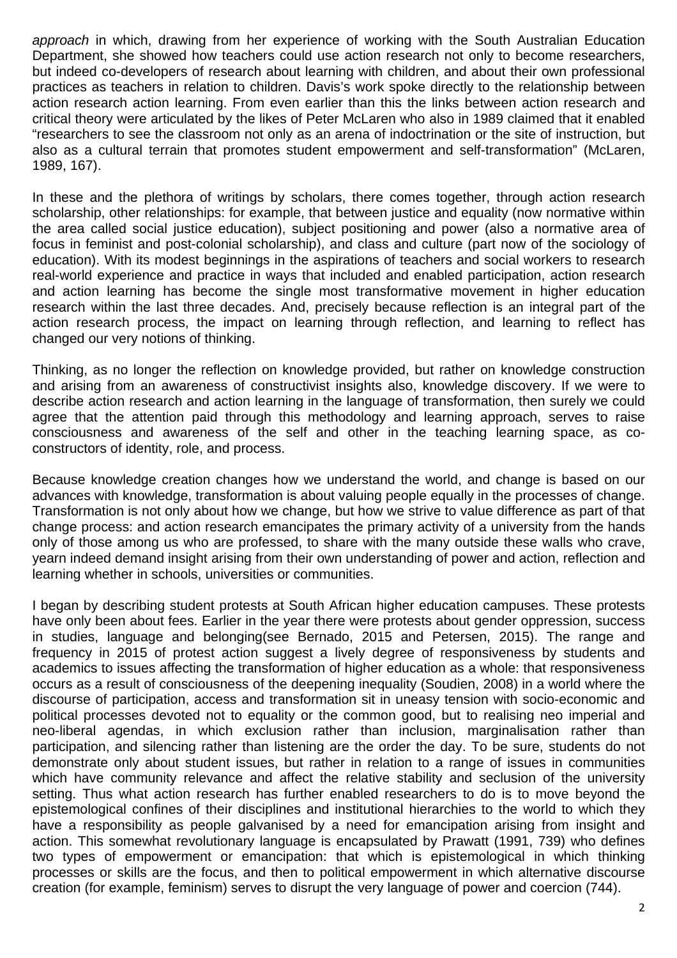*approach* in which, drawing from her experience of working with the South Australian Education Department, she showed how teachers could use action research not only to become researchers, but indeed co-developers of research about learning with children, and about their own professional practices as teachers in relation to children. Davis's work spoke directly to the relationship between action research action learning. From even earlier than this the links between action research and critical theory were articulated by the likes of Peter McLaren who also in 1989 claimed that it enabled "researchers to see the classroom not only as an arena of indoctrination or the site of instruction, but also as a cultural terrain that promotes student empowerment and self-transformation" (McLaren, 1989, 167).

In these and the plethora of writings by scholars, there comes together, through action research scholarship, other relationships: for example, that between justice and equality (now normative within the area called social justice education), subject positioning and power (also a normative area of focus in feminist and post-colonial scholarship), and class and culture (part now of the sociology of education). With its modest beginnings in the aspirations of teachers and social workers to research real-world experience and practice in ways that included and enabled participation, action research and action learning has become the single most transformative movement in higher education research within the last three decades. And, precisely because reflection is an integral part of the action research process, the impact on learning through reflection, and learning to reflect has changed our very notions of thinking.

Thinking, as no longer the reflection on knowledge provided, but rather on knowledge construction and arising from an awareness of constructivist insights also, knowledge discovery. If we were to describe action research and action learning in the language of transformation, then surely we could agree that the attention paid through this methodology and learning approach, serves to raise consciousness and awareness of the self and other in the teaching learning space, as coconstructors of identity, role, and process.

Because knowledge creation changes how we understand the world, and change is based on our advances with knowledge, transformation is about valuing people equally in the processes of change. Transformation is not only about how we change, but how we strive to value difference as part of that change process: and action research emancipates the primary activity of a university from the hands only of those among us who are professed, to share with the many outside these walls who crave, yearn indeed demand insight arising from their own understanding of power and action, reflection and learning whether in schools, universities or communities.

I began by describing student protests at South African higher education campuses. These protests have only been about fees. Earlier in the year there were protests about gender oppression, success in studies, language and belonging(see Bernado, 2015 and Petersen, 2015). The range and frequency in 2015 of protest action suggest a lively degree of responsiveness by students and academics to issues affecting the transformation of higher education as a whole: that responsiveness occurs as a result of consciousness of the deepening inequality (Soudien, 2008) in a world where the discourse of participation, access and transformation sit in uneasy tension with socio-economic and political processes devoted not to equality or the common good, but to realising neo imperial and neo-liberal agendas, in which exclusion rather than inclusion, marginalisation rather than participation, and silencing rather than listening are the order the day. To be sure, students do not demonstrate only about student issues, but rather in relation to a range of issues in communities which have community relevance and affect the relative stability and seclusion of the university setting. Thus what action research has further enabled researchers to do is to move beyond the epistemological confines of their disciplines and institutional hierarchies to the world to which they have a responsibility as people galvanised by a need for emancipation arising from insight and action. This somewhat revolutionary language is encapsulated by Prawatt (1991, 739) who defines two types of empowerment or emancipation: that which is epistemological in which thinking processes or skills are the focus, and then to political empowerment in which alternative discourse creation (for example, feminism) serves to disrupt the very language of power and coercion (744).